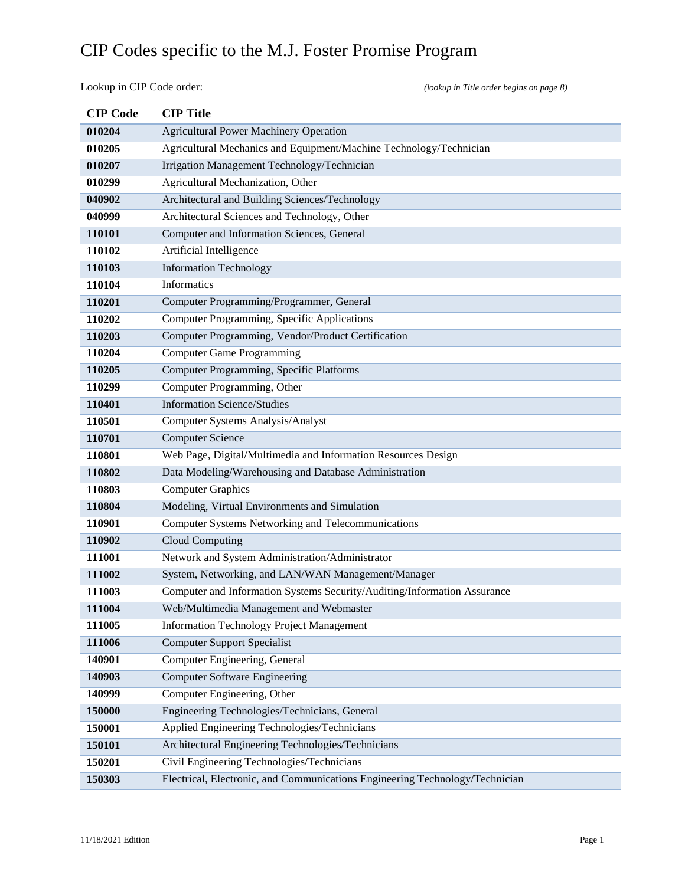Lookup in CIP Code order: *(lookup in Title order begins on page 8)*

| <b>CIP</b> Code | <b>CIP</b> Title                                                             |
|-----------------|------------------------------------------------------------------------------|
| 010204          | <b>Agricultural Power Machinery Operation</b>                                |
| 010205          | Agricultural Mechanics and Equipment/Machine Technology/Technician           |
| 010207          | Irrigation Management Technology/Technician                                  |
| 010299          | Agricultural Mechanization, Other                                            |
| 040902          | Architectural and Building Sciences/Technology                               |
| 040999          | Architectural Sciences and Technology, Other                                 |
| 110101          | Computer and Information Sciences, General                                   |
| 110102          | Artificial Intelligence                                                      |
| 110103          | <b>Information Technology</b>                                                |
| 110104          | Informatics                                                                  |
| 110201          | Computer Programming/Programmer, General                                     |
| 110202          | Computer Programming, Specific Applications                                  |
| 110203          | Computer Programming, Vendor/Product Certification                           |
| 110204          | <b>Computer Game Programming</b>                                             |
| 110205          | <b>Computer Programming, Specific Platforms</b>                              |
| 110299          | Computer Programming, Other                                                  |
| 110401          | <b>Information Science/Studies</b>                                           |
| 110501          | Computer Systems Analysis/Analyst                                            |
| 110701          | <b>Computer Science</b>                                                      |
| 110801          | Web Page, Digital/Multimedia and Information Resources Design                |
| 110802          | Data Modeling/Warehousing and Database Administration                        |
| 110803          | <b>Computer Graphics</b>                                                     |
| 110804          | Modeling, Virtual Environments and Simulation                                |
| 110901          | Computer Systems Networking and Telecommunications                           |
| 110902          | Cloud Computing                                                              |
| 111001          | Network and System Administration/Administrator                              |
| 111002          | System, Networking, and LAN/WAN Management/Manager                           |
| 111003          | Computer and Information Systems Security/Auditing/Information Assurance     |
| 111004          | Web/Multimedia Management and Webmaster                                      |
| 111005          | <b>Information Technology Project Management</b>                             |
| 111006          | <b>Computer Support Specialist</b>                                           |
| 140901          | Computer Engineering, General                                                |
| 140903          | <b>Computer Software Engineering</b>                                         |
| 140999          | Computer Engineering, Other                                                  |
| 150000          | Engineering Technologies/Technicians, General                                |
| 150001          | Applied Engineering Technologies/Technicians                                 |
| 150101          | Architectural Engineering Technologies/Technicians                           |
| 150201          | Civil Engineering Technologies/Technicians                                   |
| 150303          | Electrical, Electronic, and Communications Engineering Technology/Technician |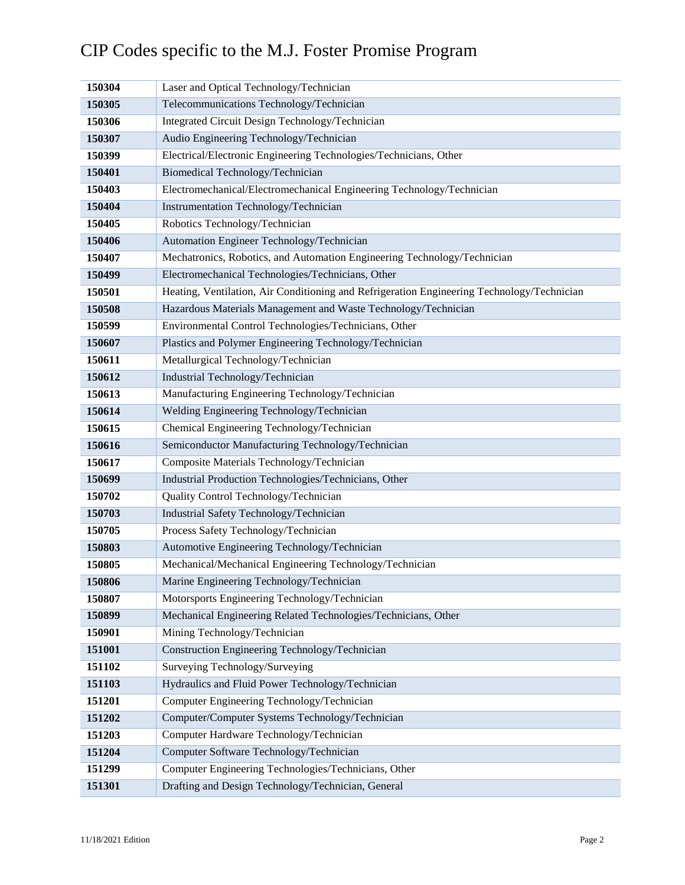| 150304 | Laser and Optical Technology/Technician                                                    |
|--------|--------------------------------------------------------------------------------------------|
| 150305 | Telecommunications Technology/Technician                                                   |
| 150306 | Integrated Circuit Design Technology/Technician                                            |
| 150307 | Audio Engineering Technology/Technician                                                    |
| 150399 | Electrical/Electronic Engineering Technologies/Technicians, Other                          |
| 150401 | Biomedical Technology/Technician                                                           |
| 150403 | Electromechanical/Electromechanical Engineering Technology/Technician                      |
| 150404 | Instrumentation Technology/Technician                                                      |
| 150405 | Robotics Technology/Technician                                                             |
| 150406 | Automation Engineer Technology/Technician                                                  |
| 150407 | Mechatronics, Robotics, and Automation Engineering Technology/Technician                   |
| 150499 | Electromechanical Technologies/Technicians, Other                                          |
| 150501 | Heating, Ventilation, Air Conditioning and Refrigeration Engineering Technology/Technician |
| 150508 | Hazardous Materials Management and Waste Technology/Technician                             |
| 150599 | Environmental Control Technologies/Technicians, Other                                      |
| 150607 | Plastics and Polymer Engineering Technology/Technician                                     |
| 150611 | Metallurgical Technology/Technician                                                        |
| 150612 | Industrial Technology/Technician                                                           |
| 150613 | Manufacturing Engineering Technology/Technician                                            |
| 150614 | Welding Engineering Technology/Technician                                                  |
| 150615 | Chemical Engineering Technology/Technician                                                 |
| 150616 | Semiconductor Manufacturing Technology/Technician                                          |
| 150617 | Composite Materials Technology/Technician                                                  |
| 150699 | Industrial Production Technologies/Technicians, Other                                      |
| 150702 | Quality Control Technology/Technician                                                      |
| 150703 | Industrial Safety Technology/Technician                                                    |
| 150705 | Process Safety Technology/Technician                                                       |
| 150803 | Automotive Engineering Technology/Technician                                               |
| 150805 | Mechanical/Mechanical Engineering Technology/Technician                                    |
| 150806 | Marine Engineering Technology/Technician                                                   |
| 150807 | Motorsports Engineering Technology/Technician                                              |
| 150899 | Mechanical Engineering Related Technologies/Technicians, Other                             |
| 150901 | Mining Technology/Technician                                                               |
| 151001 | Construction Engineering Technology/Technician                                             |
| 151102 | Surveying Technology/Surveying                                                             |
| 151103 | Hydraulics and Fluid Power Technology/Technician                                           |
| 151201 | Computer Engineering Technology/Technician                                                 |
| 151202 | Computer/Computer Systems Technology/Technician                                            |
| 151203 | Computer Hardware Technology/Technician                                                    |
| 151204 | Computer Software Technology/Technician                                                    |
| 151299 | Computer Engineering Technologies/Technicians, Other                                       |
| 151301 | Drafting and Design Technology/Technician, General                                         |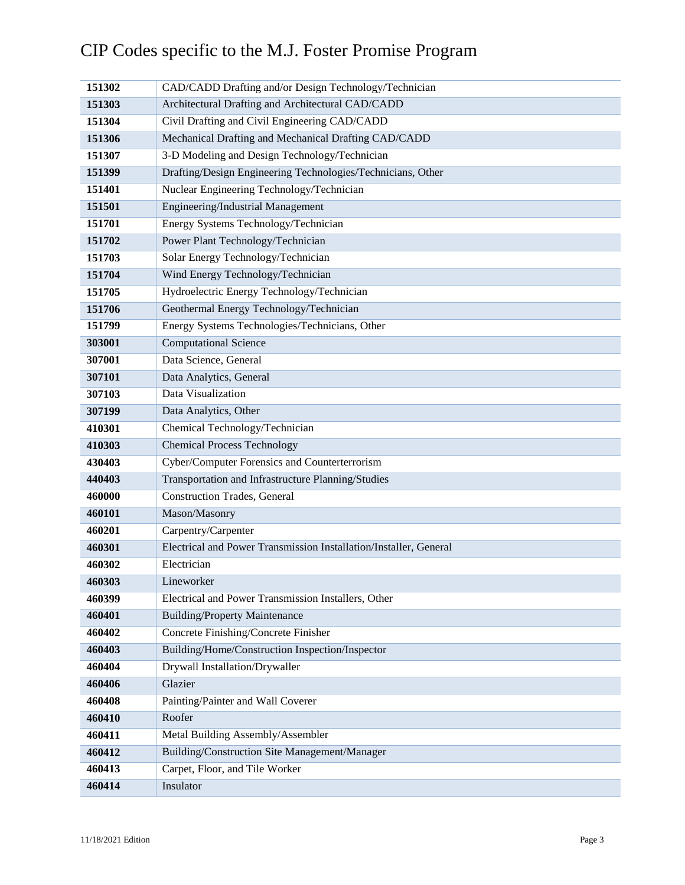| 151302 | CAD/CADD Drafting and/or Design Technology/Technician             |
|--------|-------------------------------------------------------------------|
| 151303 | Architectural Drafting and Architectural CAD/CADD                 |
| 151304 | Civil Drafting and Civil Engineering CAD/CADD                     |
| 151306 | Mechanical Drafting and Mechanical Drafting CAD/CADD              |
| 151307 | 3-D Modeling and Design Technology/Technician                     |
| 151399 | Drafting/Design Engineering Technologies/Technicians, Other       |
| 151401 | Nuclear Engineering Technology/Technician                         |
| 151501 | Engineering/Industrial Management                                 |
| 151701 | Energy Systems Technology/Technician                              |
| 151702 | Power Plant Technology/Technician                                 |
| 151703 | Solar Energy Technology/Technician                                |
| 151704 | Wind Energy Technology/Technician                                 |
| 151705 | Hydroelectric Energy Technology/Technician                        |
| 151706 | Geothermal Energy Technology/Technician                           |
| 151799 | Energy Systems Technologies/Technicians, Other                    |
| 303001 | <b>Computational Science</b>                                      |
| 307001 | Data Science, General                                             |
| 307101 | Data Analytics, General                                           |
| 307103 | Data Visualization                                                |
| 307199 | Data Analytics, Other                                             |
| 410301 | Chemical Technology/Technician                                    |
| 410303 | <b>Chemical Process Technology</b>                                |
| 430403 | Cyber/Computer Forensics and Counterterrorism                     |
| 440403 | Transportation and Infrastructure Planning/Studies                |
| 460000 | <b>Construction Trades</b> , General                              |
| 460101 | Mason/Masonry                                                     |
| 460201 | Carpentry/Carpenter                                               |
| 460301 | Electrical and Power Transmission Installation/Installer, General |
| 460302 | Electrician                                                       |
| 460303 | Lineworker                                                        |
| 460399 | Electrical and Power Transmission Installers, Other               |
| 460401 | <b>Building/Property Maintenance</b>                              |
| 460402 | Concrete Finishing/Concrete Finisher                              |
| 460403 | Building/Home/Construction Inspection/Inspector                   |
| 460404 | Drywall Installation/Drywaller                                    |
| 460406 | Glazier                                                           |
| 460408 | Painting/Painter and Wall Coverer                                 |
| 460410 | Roofer                                                            |
| 460411 | Metal Building Assembly/Assembler                                 |
| 460412 | Building/Construction Site Management/Manager                     |
| 460413 | Carpet, Floor, and Tile Worker                                    |
| 460414 | Insulator                                                         |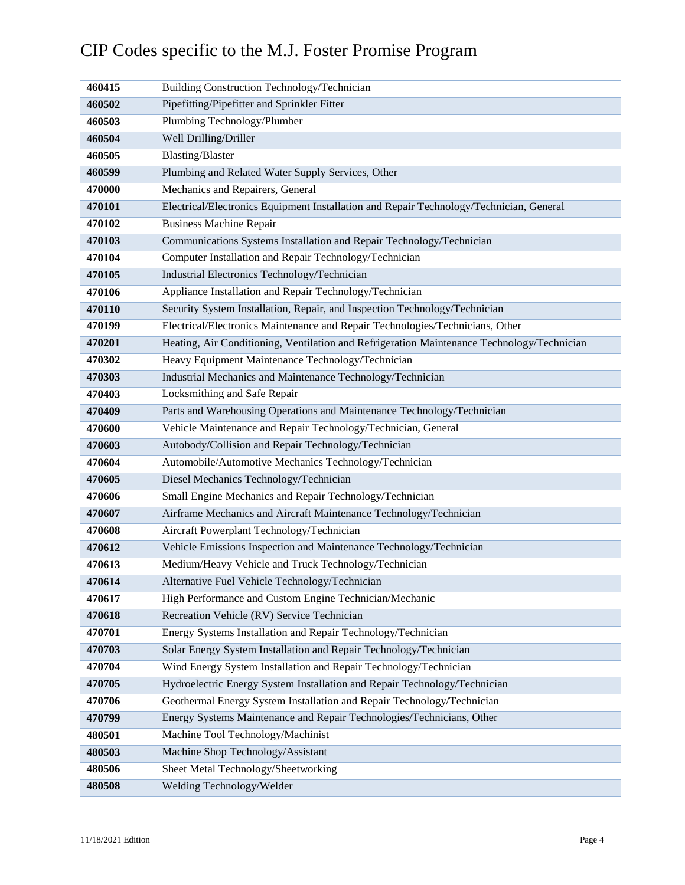| 460415 | Building Construction Technology/Technician                                                |
|--------|--------------------------------------------------------------------------------------------|
| 460502 | Pipefitting/Pipefitter and Sprinkler Fitter                                                |
| 460503 | Plumbing Technology/Plumber                                                                |
| 460504 | Well Drilling/Driller                                                                      |
| 460505 | <b>Blasting/Blaster</b>                                                                    |
| 460599 | Plumbing and Related Water Supply Services, Other                                          |
| 470000 | Mechanics and Repairers, General                                                           |
| 470101 | Electrical/Electronics Equipment Installation and Repair Technology/Technician, General    |
| 470102 | <b>Business Machine Repair</b>                                                             |
| 470103 | Communications Systems Installation and Repair Technology/Technician                       |
| 470104 | Computer Installation and Repair Technology/Technician                                     |
| 470105 | Industrial Electronics Technology/Technician                                               |
| 470106 | Appliance Installation and Repair Technology/Technician                                    |
| 470110 | Security System Installation, Repair, and Inspection Technology/Technician                 |
| 470199 | Electrical/Electronics Maintenance and Repair Technologies/Technicians, Other              |
| 470201 | Heating, Air Conditioning, Ventilation and Refrigeration Maintenance Technology/Technician |
| 470302 | Heavy Equipment Maintenance Technology/Technician                                          |
| 470303 | Industrial Mechanics and Maintenance Technology/Technician                                 |
| 470403 | Locksmithing and Safe Repair                                                               |
| 470409 | Parts and Warehousing Operations and Maintenance Technology/Technician                     |
| 470600 | Vehicle Maintenance and Repair Technology/Technician, General                              |
| 470603 | Autobody/Collision and Repair Technology/Technician                                        |
| 470604 | Automobile/Automotive Mechanics Technology/Technician                                      |
| 470605 | Diesel Mechanics Technology/Technician                                                     |
| 470606 | Small Engine Mechanics and Repair Technology/Technician                                    |
| 470607 | Airframe Mechanics and Aircraft Maintenance Technology/Technician                          |
| 470608 | Aircraft Powerplant Technology/Technician                                                  |
| 470612 | Vehicle Emissions Inspection and Maintenance Technology/Technician                         |
| 470613 | Medium/Heavy Vehicle and Truck Technology/Technician                                       |
| 470614 | Alternative Fuel Vehicle Technology/Technician                                             |
| 470617 | High Performance and Custom Engine Technician/Mechanic                                     |
| 470618 | Recreation Vehicle (RV) Service Technician                                                 |
| 470701 | Energy Systems Installation and Repair Technology/Technician                               |
| 470703 | Solar Energy System Installation and Repair Technology/Technician                          |
| 470704 | Wind Energy System Installation and Repair Technology/Technician                           |
| 470705 | Hydroelectric Energy System Installation and Repair Technology/Technician                  |
| 470706 | Geothermal Energy System Installation and Repair Technology/Technician                     |
| 470799 | Energy Systems Maintenance and Repair Technologies/Technicians, Other                      |
| 480501 | Machine Tool Technology/Machinist                                                          |
| 480503 | Machine Shop Technology/Assistant                                                          |
| 480506 | Sheet Metal Technology/Sheetworking                                                        |
| 480508 | Welding Technology/Welder                                                                  |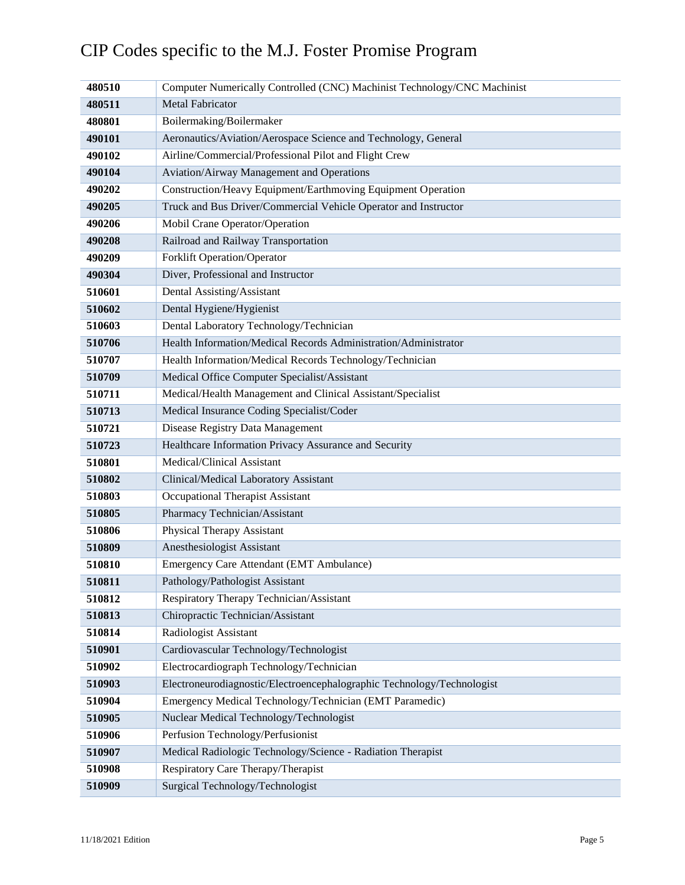#### Computer Numerically Controlled (CNC) Machinist Technology/CNC Machinist Metal Fabricator Boilermaking/Boilermaker Aeronautics/Aviation/Aerospace Science and Technology, General Airline/Commercial/Professional Pilot and Flight Crew Aviation/Airway Management and Operations Construction/Heavy Equipment/Earthmoving Equipment Operation Truck and Bus Driver/Commercial Vehicle Operator and Instructor Mobil Crane Operator/Operation Railroad and Railway Transportation Forklift Operation/Operator Diver, Professional and Instructor Dental Assisting/Assistant Dental Hygiene/Hygienist Dental Laboratory Technology/Technician Health Information/Medical Records Administration/Administrator Health Information/Medical Records Technology/Technician Medical Office Computer Specialist/Assistant Medical/Health Management and Clinical Assistant/Specialist Medical Insurance Coding Specialist/Coder Disease Registry Data Management Healthcare Information Privacy Assurance and Security Medical/Clinical Assistant Clinical/Medical Laboratory Assistant Occupational Therapist Assistant Pharmacy Technician/Assistant Physical Therapy Assistant Anesthesiologist Assistant Emergency Care Attendant (EMT Ambulance) Pathology/Pathologist Assistant Respiratory Therapy Technician/Assistant Chiropractic Technician/Assistant Radiologist Assistant Cardiovascular Technology/Technologist Electrocardiograph Technology/Technician Electroneurodiagnostic/Electroencephalographic Technology/Technologist Emergency Medical Technology/Technician (EMT Paramedic) Nuclear Medical Technology/Technologist Perfusion Technology/Perfusionist Medical Radiologic Technology/Science - Radiation Therapist Respiratory Care Therapy/Therapist Surgical Technology/Technologist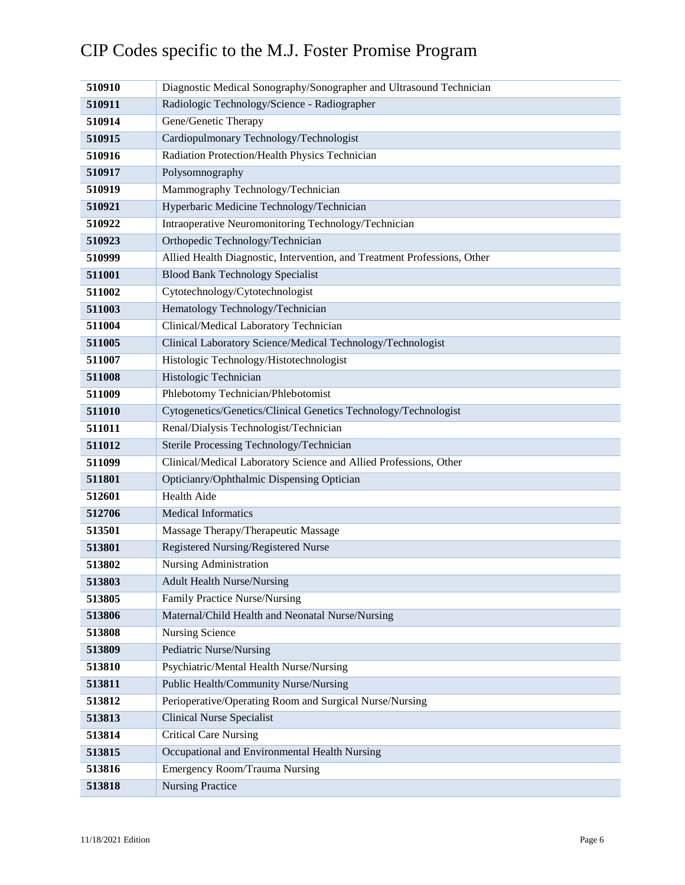| 510910 | Diagnostic Medical Sonography/Sonographer and Ultrasound Technician      |
|--------|--------------------------------------------------------------------------|
| 510911 | Radiologic Technology/Science - Radiographer                             |
| 510914 | Gene/Genetic Therapy                                                     |
| 510915 | Cardiopulmonary Technology/Technologist                                  |
| 510916 | Radiation Protection/Health Physics Technician                           |
| 510917 | Polysomnography                                                          |
| 510919 | Mammography Technology/Technician                                        |
| 510921 | Hyperbaric Medicine Technology/Technician                                |
| 510922 | Intraoperative Neuromonitoring Technology/Technician                     |
| 510923 | Orthopedic Technology/Technician                                         |
| 510999 | Allied Health Diagnostic, Intervention, and Treatment Professions, Other |
| 511001 | <b>Blood Bank Technology Specialist</b>                                  |
| 511002 | Cytotechnology/Cytotechnologist                                          |
| 511003 | Hematology Technology/Technician                                         |
| 511004 | Clinical/Medical Laboratory Technician                                   |
| 511005 | Clinical Laboratory Science/Medical Technology/Technologist              |
| 511007 | Histologic Technology/Histotechnologist                                  |
| 511008 | Histologic Technician                                                    |
| 511009 | Phlebotomy Technician/Phlebotomist                                       |
| 511010 | Cytogenetics/Genetics/Clinical Genetics Technology/Technologist          |
| 511011 | Renal/Dialysis Technologist/Technician                                   |
| 511012 | Sterile Processing Technology/Technician                                 |
| 511099 | Clinical/Medical Laboratory Science and Allied Professions, Other        |
| 511801 | Opticianry/Ophthalmic Dispensing Optician                                |
| 512601 | Health Aide                                                              |
| 512706 | <b>Medical Informatics</b>                                               |
| 513501 | Massage Therapy/Therapeutic Massage                                      |
| 513801 | Registered Nursing/Registered Nurse                                      |
| 513802 | Nursing Administration                                                   |
| 513803 | <b>Adult Health Nurse/Nursing</b>                                        |
| 513805 | Family Practice Nurse/Nursing                                            |
| 513806 | Maternal/Child Health and Neonatal Nurse/Nursing                         |
| 513808 | <b>Nursing Science</b>                                                   |
| 513809 | Pediatric Nurse/Nursing                                                  |
| 513810 | Psychiatric/Mental Health Nurse/Nursing                                  |
| 513811 | Public Health/Community Nurse/Nursing                                    |
| 513812 | Perioperative/Operating Room and Surgical Nurse/Nursing                  |
| 513813 | <b>Clinical Nurse Specialist</b>                                         |
| 513814 | <b>Critical Care Nursing</b>                                             |
| 513815 | Occupational and Environmental Health Nursing                            |
| 513816 | <b>Emergency Room/Trauma Nursing</b>                                     |
| 513818 | <b>Nursing Practice</b>                                                  |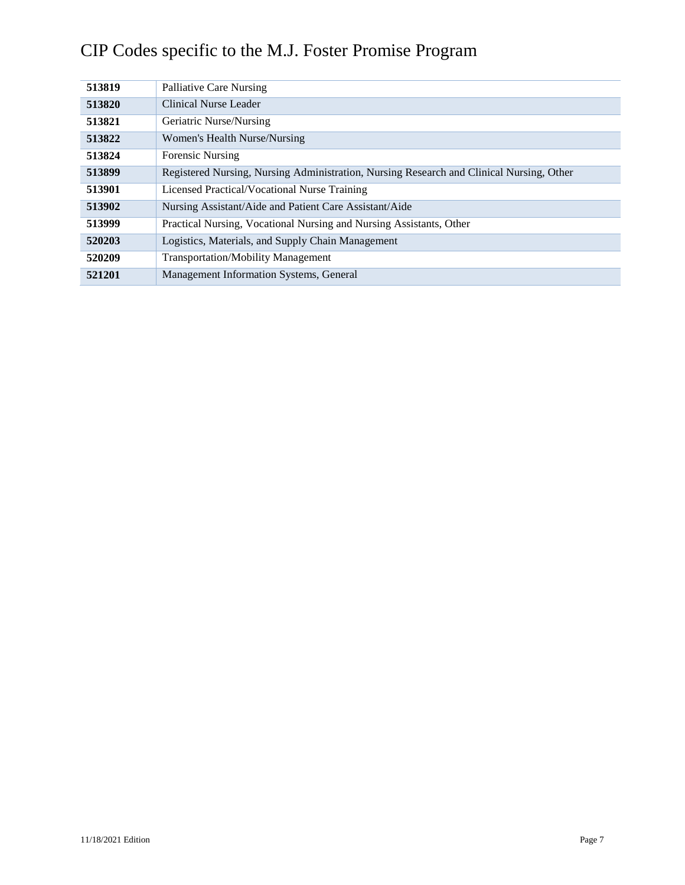| 513819 | Palliative Care Nursing                                                                  |
|--------|------------------------------------------------------------------------------------------|
| 513820 | Clinical Nurse Leader                                                                    |
| 513821 | Geriatric Nurse/Nursing                                                                  |
| 513822 | Women's Health Nurse/Nursing                                                             |
| 513824 | <b>Forensic Nursing</b>                                                                  |
| 513899 | Registered Nursing, Nursing Administration, Nursing Research and Clinical Nursing, Other |
| 513901 | Licensed Practical/Vocational Nurse Training                                             |
| 513902 | Nursing Assistant/Aide and Patient Care Assistant/Aide                                   |
| 513999 | Practical Nursing, Vocational Nursing and Nursing Assistants, Other                      |
| 520203 | Logistics, Materials, and Supply Chain Management                                        |
| 520209 | <b>Transportation/Mobility Management</b>                                                |
| 521201 | Management Information Systems, General                                                  |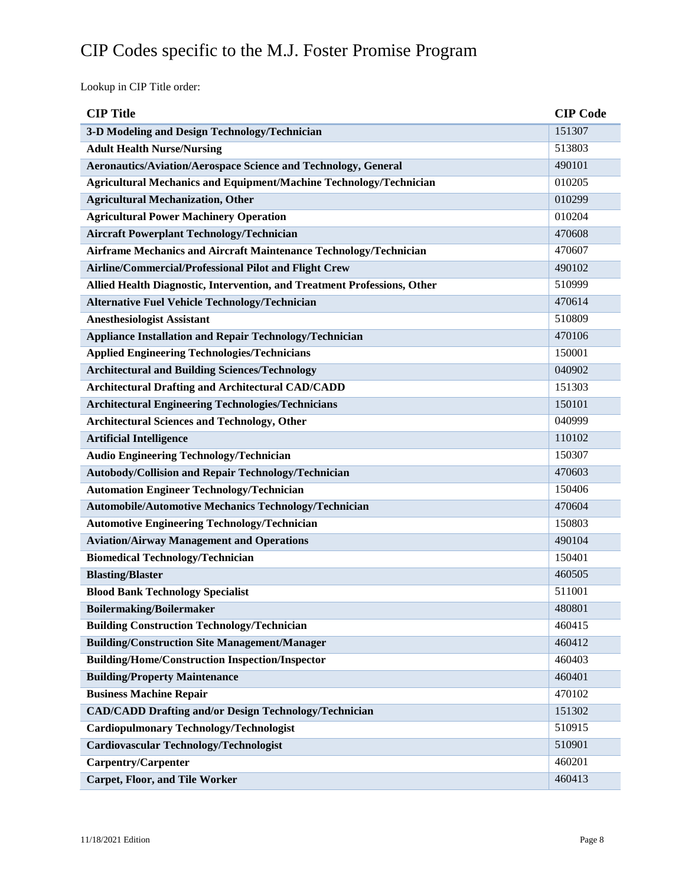Lookup in CIP Title order:

| <b>CIP</b> Title                                                          | <b>CIP Code</b> |
|---------------------------------------------------------------------------|-----------------|
| 3-D Modeling and Design Technology/Technician                             | 151307          |
| <b>Adult Health Nurse/Nursing</b>                                         | 513803          |
| <b>Aeronautics/Aviation/Aerospace Science and Technology, General</b>     | 490101          |
| <b>Agricultural Mechanics and Equipment/Machine Technology/Technician</b> | 010205          |
| <b>Agricultural Mechanization, Other</b>                                  | 010299          |
| <b>Agricultural Power Machinery Operation</b>                             | 010204          |
| <b>Aircraft Powerplant Technology/Technician</b>                          | 470608          |
| Airframe Mechanics and Aircraft Maintenance Technology/Technician         | 470607          |
| Airline/Commercial/Professional Pilot and Flight Crew                     | 490102          |
| Allied Health Diagnostic, Intervention, and Treatment Professions, Other  | 510999          |
| <b>Alternative Fuel Vehicle Technology/Technician</b>                     | 470614          |
| <b>Anesthesiologist Assistant</b>                                         | 510809          |
| <b>Appliance Installation and Repair Technology/Technician</b>            | 470106          |
| <b>Applied Engineering Technologies/Technicians</b>                       | 150001          |
| <b>Architectural and Building Sciences/Technology</b>                     | 040902          |
| <b>Architectural Drafting and Architectural CAD/CADD</b>                  | 151303          |
| <b>Architectural Engineering Technologies/Technicians</b>                 | 150101          |
| <b>Architectural Sciences and Technology, Other</b>                       | 040999          |
| <b>Artificial Intelligence</b>                                            | 110102          |
| Audio Engineering Technology/Technician                                   | 150307          |
| Autobody/Collision and Repair Technology/Technician                       | 470603          |
| <b>Automation Engineer Technology/Technician</b>                          | 150406          |
| <b>Automobile/Automotive Mechanics Technology/Technician</b>              | 470604          |
| <b>Automotive Engineering Technology/Technician</b>                       | 150803          |
| <b>Aviation/Airway Management and Operations</b>                          | 490104          |
| <b>Biomedical Technology/Technician</b>                                   | 150401          |
| <b>Blasting/Blaster</b>                                                   | 460505          |
| <b>Blood Bank Technology Specialist</b>                                   | 511001          |
| <b>Boilermaking/Boilermaker</b>                                           | 480801          |
| <b>Building Construction Technology/Technician</b>                        | 460415          |
| <b>Building/Construction Site Management/Manager</b>                      | 460412          |
| <b>Building/Home/Construction Inspection/Inspector</b>                    | 460403          |
| <b>Building/Property Maintenance</b>                                      | 460401          |
| <b>Business Machine Repair</b>                                            | 470102          |
| <b>CAD/CADD Drafting and/or Design Technology/Technician</b>              | 151302          |
| <b>Cardiopulmonary Technology/Technologist</b>                            | 510915          |
| Cardiovascular Technology/Technologist                                    | 510901          |
| <b>Carpentry/Carpenter</b>                                                | 460201          |
| <b>Carpet, Floor, and Tile Worker</b>                                     | 460413          |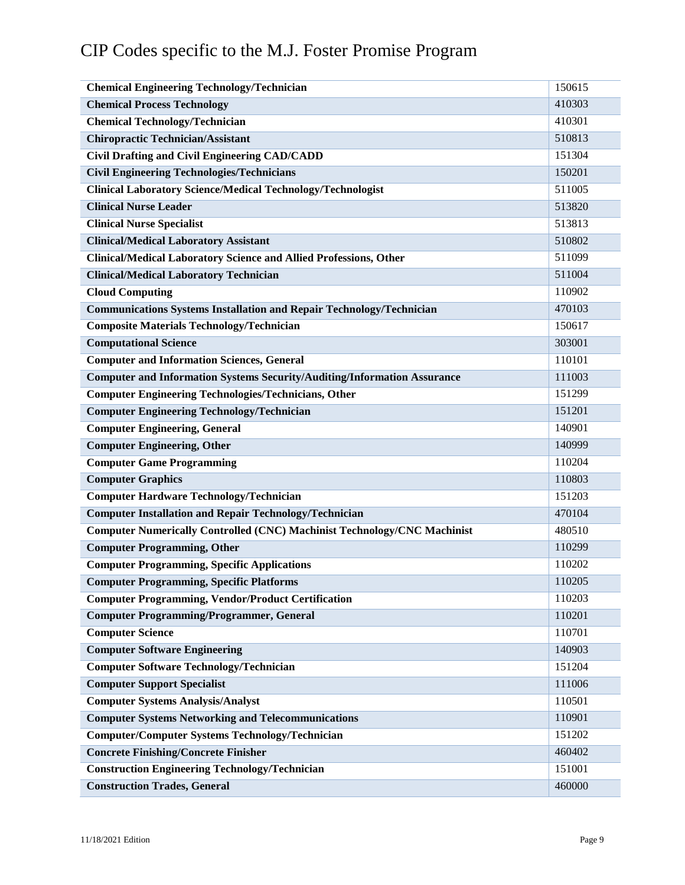| <b>Chemical Engineering Technology/Technician</b>                               | 150615 |
|---------------------------------------------------------------------------------|--------|
| <b>Chemical Process Technology</b>                                              | 410303 |
| <b>Chemical Technology/Technician</b>                                           | 410301 |
| <b>Chiropractic Technician/Assistant</b>                                        | 510813 |
| <b>Civil Drafting and Civil Engineering CAD/CADD</b>                            | 151304 |
| <b>Civil Engineering Technologies/Technicians</b>                               | 150201 |
| <b>Clinical Laboratory Science/Medical Technology/Technologist</b>              | 511005 |
| <b>Clinical Nurse Leader</b>                                                    | 513820 |
| <b>Clinical Nurse Specialist</b>                                                | 513813 |
| <b>Clinical/Medical Laboratory Assistant</b>                                    | 510802 |
| Clinical/Medical Laboratory Science and Allied Professions, Other               | 511099 |
| <b>Clinical/Medical Laboratory Technician</b>                                   | 511004 |
| <b>Cloud Computing</b>                                                          | 110902 |
| <b>Communications Systems Installation and Repair Technology/Technician</b>     | 470103 |
| <b>Composite Materials Technology/Technician</b>                                | 150617 |
| <b>Computational Science</b>                                                    | 303001 |
| <b>Computer and Information Sciences, General</b>                               | 110101 |
| <b>Computer and Information Systems Security/Auditing/Information Assurance</b> | 111003 |
| <b>Computer Engineering Technologies/Technicians, Other</b>                     | 151299 |
| <b>Computer Engineering Technology/Technician</b>                               | 151201 |
| <b>Computer Engineering, General</b>                                            | 140901 |
| <b>Computer Engineering, Other</b>                                              | 140999 |
| <b>Computer Game Programming</b>                                                | 110204 |
| <b>Computer Graphics</b>                                                        | 110803 |
| <b>Computer Hardware Technology/Technician</b>                                  | 151203 |
| <b>Computer Installation and Repair Technology/Technician</b>                   | 470104 |
| <b>Computer Numerically Controlled (CNC) Machinist Technology/CNC Machinist</b> | 480510 |
| <b>Computer Programming, Other</b>                                              | 110299 |
| <b>Computer Programming, Specific Applications</b>                              | 110202 |
| <b>Computer Programming, Specific Platforms</b>                                 | 110205 |
| <b>Computer Programming, Vendor/Product Certification</b>                       | 110203 |
| <b>Computer Programming/Programmer, General</b>                                 | 110201 |
| <b>Computer Science</b>                                                         | 110701 |
| <b>Computer Software Engineering</b>                                            | 140903 |
| <b>Computer Software Technology/Technician</b>                                  | 151204 |
| <b>Computer Support Specialist</b>                                              | 111006 |
| <b>Computer Systems Analysis/Analyst</b>                                        | 110501 |
| <b>Computer Systems Networking and Telecommunications</b>                       | 110901 |
| <b>Computer/Computer Systems Technology/Technician</b>                          | 151202 |
| <b>Concrete Finishing/Concrete Finisher</b>                                     | 460402 |
| <b>Construction Engineering Technology/Technician</b>                           | 151001 |
| <b>Construction Trades, General</b>                                             | 460000 |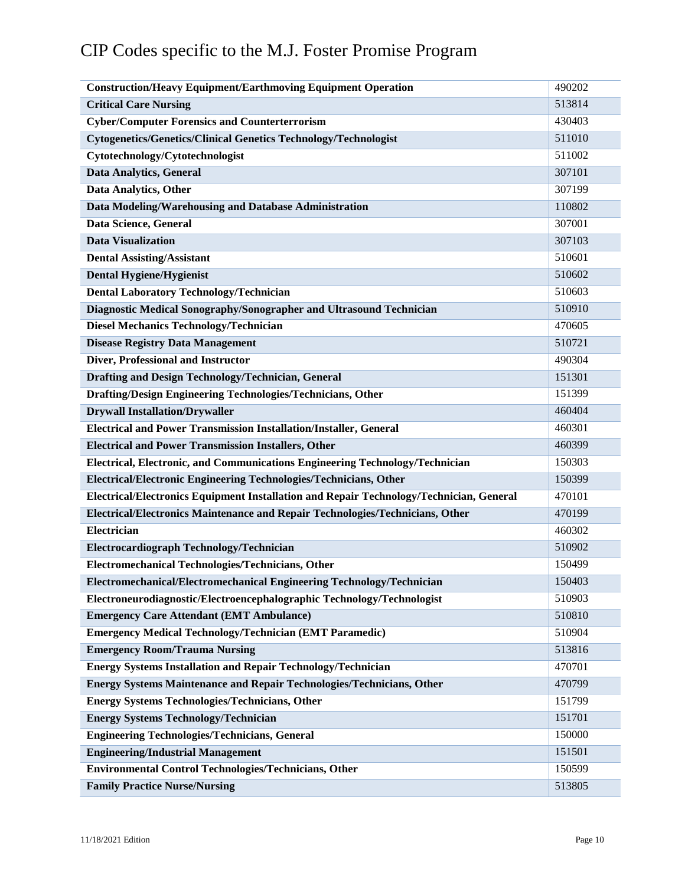| <b>Construction/Heavy Equipment/Earthmoving Equipment Operation</b>                     | 490202 |
|-----------------------------------------------------------------------------------------|--------|
| <b>Critical Care Nursing</b>                                                            | 513814 |
| <b>Cyber/Computer Forensics and Counterterrorism</b>                                    | 430403 |
| <b>Cytogenetics/Genetics/Clinical Genetics Technology/Technologist</b>                  | 511010 |
| Cytotechnology/Cytotechnologist                                                         | 511002 |
| <b>Data Analytics, General</b>                                                          | 307101 |
| Data Analytics, Other                                                                   | 307199 |
| Data Modeling/Warehousing and Database Administration                                   | 110802 |
| Data Science, General                                                                   | 307001 |
| <b>Data Visualization</b>                                                               | 307103 |
| <b>Dental Assisting/Assistant</b>                                                       | 510601 |
| <b>Dental Hygiene/Hygienist</b>                                                         | 510602 |
| <b>Dental Laboratory Technology/Technician</b>                                          | 510603 |
| Diagnostic Medical Sonography/Sonographer and Ultrasound Technician                     | 510910 |
| <b>Diesel Mechanics Technology/Technician</b>                                           | 470605 |
| <b>Disease Registry Data Management</b>                                                 | 510721 |
| Diver, Professional and Instructor                                                      | 490304 |
| Drafting and Design Technology/Technician, General                                      | 151301 |
| Drafting/Design Engineering Technologies/Technicians, Other                             | 151399 |
| <b>Drywall Installation/Drywaller</b>                                                   | 460404 |
| <b>Electrical and Power Transmission Installation/Installer, General</b>                | 460301 |
| <b>Electrical and Power Transmission Installers, Other</b>                              | 460399 |
| Electrical, Electronic, and Communications Engineering Technology/Technician            | 150303 |
| Electrical/Electronic Engineering Technologies/Technicians, Other                       | 150399 |
| Electrical/Electronics Equipment Installation and Repair Technology/Technician, General | 470101 |
| Electrical/Electronics Maintenance and Repair Technologies/Technicians, Other           | 470199 |
| Electrician                                                                             | 460302 |
| Electrocardiograph Technology/Technician                                                | 510902 |
| Electromechanical Technologies/Technicians, Other                                       | 150499 |
| Electromechanical/Electromechanical Engineering Technology/Technician                   | 150403 |
| Electroneurodiagnostic/Electroencephalographic Technology/Technologist                  | 510903 |
| <b>Emergency Care Attendant (EMT Ambulance)</b>                                         | 510810 |
| <b>Emergency Medical Technology/Technician (EMT Paramedic)</b>                          | 510904 |
| <b>Emergency Room/Trauma Nursing</b>                                                    | 513816 |
| <b>Energy Systems Installation and Repair Technology/Technician</b>                     | 470701 |
| <b>Energy Systems Maintenance and Repair Technologies/Technicians, Other</b>            | 470799 |
| <b>Energy Systems Technologies/Technicians, Other</b>                                   | 151799 |
| <b>Energy Systems Technology/Technician</b>                                             | 151701 |
| <b>Engineering Technologies/Technicians, General</b>                                    | 150000 |
| <b>Engineering/Industrial Management</b>                                                | 151501 |
| <b>Environmental Control Technologies/Technicians, Other</b>                            | 150599 |
| <b>Family Practice Nurse/Nursing</b>                                                    | 513805 |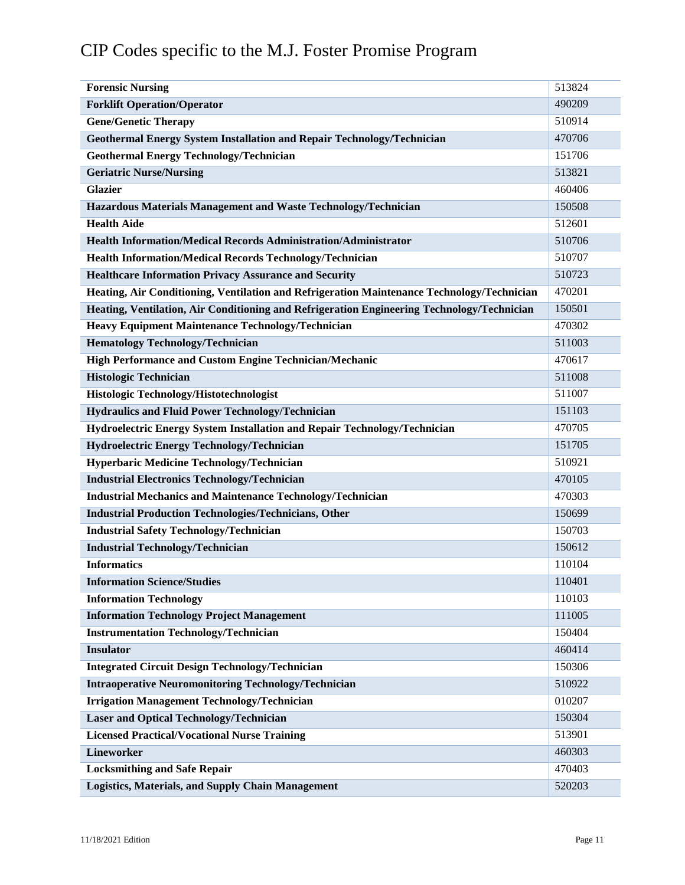| <b>Forensic Nursing</b>                                                                    | 513824 |
|--------------------------------------------------------------------------------------------|--------|
| <b>Forklift Operation/Operator</b>                                                         | 490209 |
| <b>Gene/Genetic Therapy</b>                                                                | 510914 |
| <b>Geothermal Energy System Installation and Repair Technology/Technician</b>              | 470706 |
| <b>Geothermal Energy Technology/Technician</b>                                             | 151706 |
| <b>Geriatric Nurse/Nursing</b>                                                             | 513821 |
| <b>Glazier</b>                                                                             | 460406 |
| Hazardous Materials Management and Waste Technology/Technician                             | 150508 |
| <b>Health Aide</b>                                                                         | 512601 |
| <b>Health Information/Medical Records Administration/Administrator</b>                     | 510706 |
| Health Information/Medical Records Technology/Technician                                   | 510707 |
| <b>Healthcare Information Privacy Assurance and Security</b>                               | 510723 |
| Heating, Air Conditioning, Ventilation and Refrigeration Maintenance Technology/Technician | 470201 |
| Heating, Ventilation, Air Conditioning and Refrigeration Engineering Technology/Technician | 150501 |
| <b>Heavy Equipment Maintenance Technology/Technician</b>                                   | 470302 |
| <b>Hematology Technology/Technician</b>                                                    | 511003 |
| <b>High Performance and Custom Engine Technician/Mechanic</b>                              | 470617 |
| <b>Histologic Technician</b>                                                               | 511008 |
| Histologic Technology/Histotechnologist                                                    | 511007 |
| <b>Hydraulics and Fluid Power Technology/Technician</b>                                    | 151103 |
| Hydroelectric Energy System Installation and Repair Technology/Technician                  | 470705 |
| Hydroelectric Energy Technology/Technician                                                 | 151705 |
| Hyperbaric Medicine Technology/Technician                                                  | 510921 |
| <b>Industrial Electronics Technology/Technician</b>                                        | 470105 |
| <b>Industrial Mechanics and Maintenance Technology/Technician</b>                          | 470303 |
| <b>Industrial Production Technologies/Technicians, Other</b>                               | 150699 |
| <b>Industrial Safety Technology/Technician</b>                                             | 150703 |
| <b>Industrial Technology/Technician</b>                                                    | 150612 |
| <b>Informatics</b>                                                                         | 110104 |
| <b>Information Science/Studies</b>                                                         | 110401 |
| <b>Information Technology</b>                                                              | 110103 |
| <b>Information Technology Project Management</b>                                           | 111005 |
| <b>Instrumentation Technology/Technician</b>                                               | 150404 |
| <b>Insulator</b>                                                                           | 460414 |
| <b>Integrated Circuit Design Technology/Technician</b>                                     | 150306 |
| <b>Intraoperative Neuromonitoring Technology/Technician</b>                                | 510922 |
| <b>Irrigation Management Technology/Technician</b>                                         | 010207 |
| <b>Laser and Optical Technology/Technician</b>                                             | 150304 |
| <b>Licensed Practical/Vocational Nurse Training</b>                                        | 513901 |
| <b>Lineworker</b>                                                                          | 460303 |
| <b>Locksmithing and Safe Repair</b>                                                        | 470403 |
| <b>Logistics, Materials, and Supply Chain Management</b>                                   | 520203 |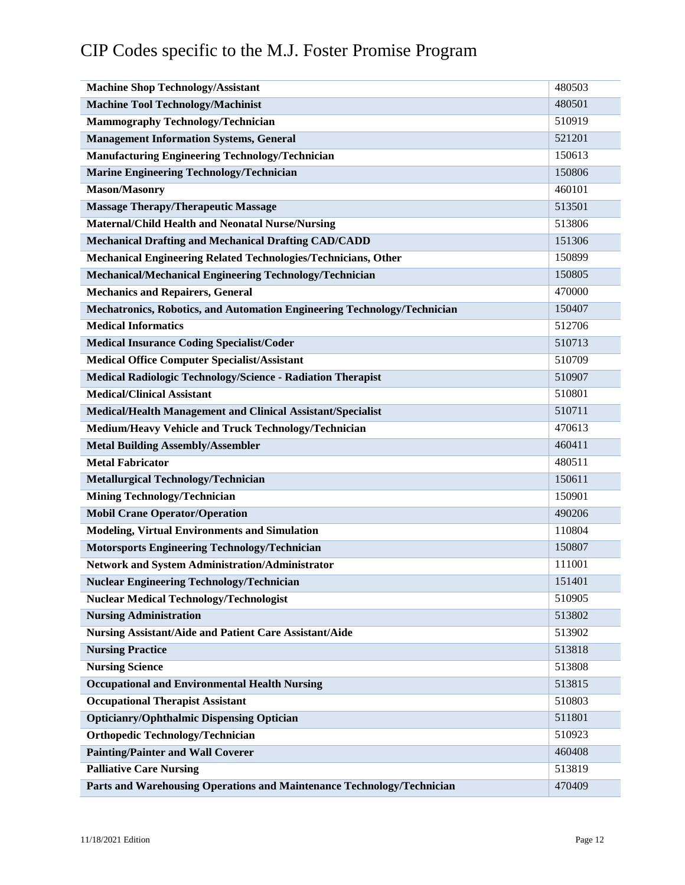| <b>Machine Shop Technology/Assistant</b>                                 | 480503 |  |
|--------------------------------------------------------------------------|--------|--|
| <b>Machine Tool Technology/Machinist</b>                                 |        |  |
| <b>Mammography Technology/Technician</b>                                 |        |  |
| <b>Management Information Systems, General</b>                           | 521201 |  |
| <b>Manufacturing Engineering Technology/Technician</b>                   |        |  |
| <b>Marine Engineering Technology/Technician</b>                          | 150806 |  |
| <b>Mason/Masonry</b>                                                     | 460101 |  |
| <b>Massage Therapy/Therapeutic Massage</b>                               | 513501 |  |
| <b>Maternal/Child Health and Neonatal Nurse/Nursing</b>                  | 513806 |  |
| <b>Mechanical Drafting and Mechanical Drafting CAD/CADD</b>              | 151306 |  |
| Mechanical Engineering Related Technologies/Technicians, Other           | 150899 |  |
| Mechanical/Mechanical Engineering Technology/Technician                  | 150805 |  |
| <b>Mechanics and Repairers, General</b>                                  | 470000 |  |
| Mechatronics, Robotics, and Automation Engineering Technology/Technician | 150407 |  |
| <b>Medical Informatics</b>                                               | 512706 |  |
| <b>Medical Insurance Coding Specialist/Coder</b>                         | 510713 |  |
| <b>Medical Office Computer Specialist/Assistant</b>                      | 510709 |  |
| Medical Radiologic Technology/Science - Radiation Therapist              | 510907 |  |
| <b>Medical/Clinical Assistant</b>                                        | 510801 |  |
| <b>Medical/Health Management and Clinical Assistant/Specialist</b>       | 510711 |  |
| Medium/Heavy Vehicle and Truck Technology/Technician                     | 470613 |  |
| <b>Metal Building Assembly/Assembler</b>                                 | 460411 |  |
| <b>Metal Fabricator</b>                                                  | 480511 |  |
| Metallurgical Technology/Technician                                      | 150611 |  |
| <b>Mining Technology/Technician</b>                                      | 150901 |  |
| <b>Mobil Crane Operator/Operation</b>                                    | 490206 |  |
| <b>Modeling, Virtual Environments and Simulation</b>                     | 110804 |  |
| <b>Motorsports Engineering Technology/Technician</b>                     | 150807 |  |
| Network and System Administration/Administrator                          | 111001 |  |
| <b>Nuclear Engineering Technology/Technician</b>                         | 151401 |  |
| <b>Nuclear Medical Technology/Technologist</b>                           | 510905 |  |
| <b>Nursing Administration</b>                                            |        |  |
| Nursing Assistant/Aide and Patient Care Assistant/Aide                   |        |  |
| <b>Nursing Practice</b>                                                  | 513818 |  |
| <b>Nursing Science</b>                                                   | 513808 |  |
| <b>Occupational and Environmental Health Nursing</b>                     | 513815 |  |
| <b>Occupational Therapist Assistant</b>                                  | 510803 |  |
| <b>Opticianry/Ophthalmic Dispensing Optician</b>                         | 511801 |  |
| <b>Orthopedic Technology/Technician</b>                                  | 510923 |  |
| <b>Painting/Painter and Wall Coverer</b>                                 | 460408 |  |
| <b>Palliative Care Nursing</b>                                           | 513819 |  |
| Parts and Warehousing Operations and Maintenance Technology/Technician   | 470409 |  |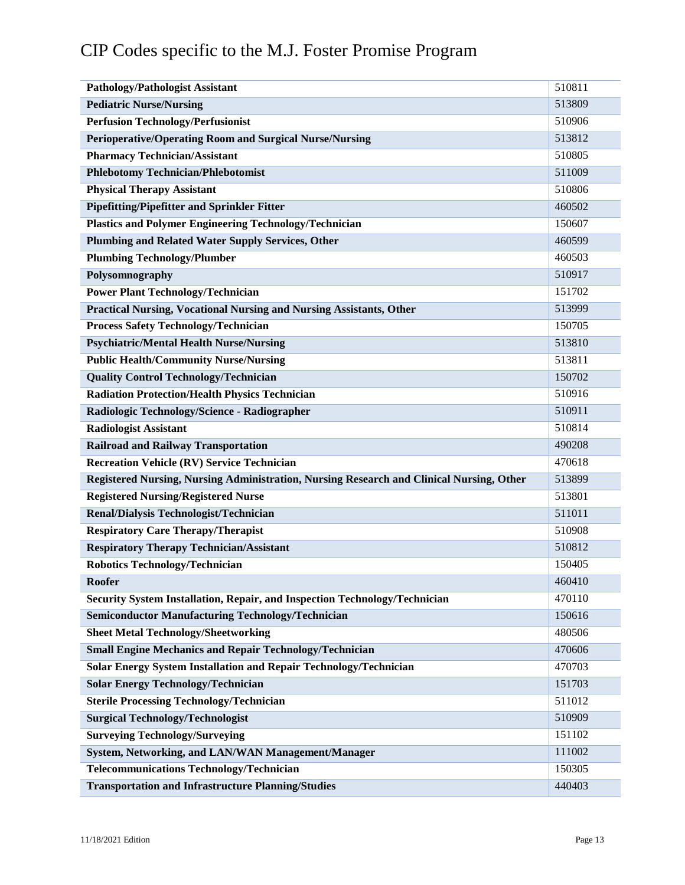| <b>Pathology/Pathologist Assistant</b>                                                   | 510811 |
|------------------------------------------------------------------------------------------|--------|
| <b>Pediatric Nurse/Nursing</b>                                                           | 513809 |
| <b>Perfusion Technology/Perfusionist</b>                                                 | 510906 |
| <b>Perioperative/Operating Room and Surgical Nurse/Nursing</b>                           | 513812 |
| <b>Pharmacy Technician/Assistant</b>                                                     | 510805 |
| <b>Phlebotomy Technician/Phlebotomist</b>                                                | 511009 |
| <b>Physical Therapy Assistant</b>                                                        | 510806 |
| <b>Pipefitting/Pipefitter and Sprinkler Fitter</b>                                       | 460502 |
| <b>Plastics and Polymer Engineering Technology/Technician</b>                            | 150607 |
| Plumbing and Related Water Supply Services, Other                                        | 460599 |
| <b>Plumbing Technology/Plumber</b>                                                       | 460503 |
| Polysomnography                                                                          | 510917 |
| <b>Power Plant Technology/Technician</b>                                                 | 151702 |
| <b>Practical Nursing, Vocational Nursing and Nursing Assistants, Other</b>               | 513999 |
| <b>Process Safety Technology/Technician</b>                                              | 150705 |
| <b>Psychiatric/Mental Health Nurse/Nursing</b>                                           | 513810 |
| <b>Public Health/Community Nurse/Nursing</b>                                             | 513811 |
| <b>Quality Control Technology/Technician</b>                                             | 150702 |
| <b>Radiation Protection/Health Physics Technician</b>                                    | 510916 |
| Radiologic Technology/Science - Radiographer                                             | 510911 |
| <b>Radiologist Assistant</b>                                                             | 510814 |
| <b>Railroad and Railway Transportation</b>                                               | 490208 |
| <b>Recreation Vehicle (RV) Service Technician</b>                                        | 470618 |
| Registered Nursing, Nursing Administration, Nursing Research and Clinical Nursing, Other | 513899 |
| <b>Registered Nursing/Registered Nurse</b>                                               | 513801 |
| Renal/Dialysis Technologist/Technician                                                   | 511011 |
| <b>Respiratory Care Therapy/Therapist</b>                                                | 510908 |
| <b>Respiratory Therapy Technician/Assistant</b>                                          | 510812 |
| <b>Robotics Technology/Technician</b>                                                    | 150405 |
| Roofer                                                                                   | 460410 |
| Security System Installation, Repair, and Inspection Technology/Technician               | 470110 |
| <b>Semiconductor Manufacturing Technology/Technician</b>                                 | 150616 |
| <b>Sheet Metal Technology/Sheetworking</b>                                               | 480506 |
| <b>Small Engine Mechanics and Repair Technology/Technician</b>                           | 470606 |
| <b>Solar Energy System Installation and Repair Technology/Technician</b>                 | 470703 |
| <b>Solar Energy Technology/Technician</b>                                                | 151703 |
| <b>Sterile Processing Technology/Technician</b>                                          | 511012 |
| <b>Surgical Technology/Technologist</b>                                                  | 510909 |
| <b>Surveying Technology/Surveying</b>                                                    | 151102 |
| System, Networking, and LAN/WAN Management/Manager                                       | 111002 |
| <b>Telecommunications Technology/Technician</b>                                          | 150305 |
| <b>Transportation and Infrastructure Planning/Studies</b>                                | 440403 |